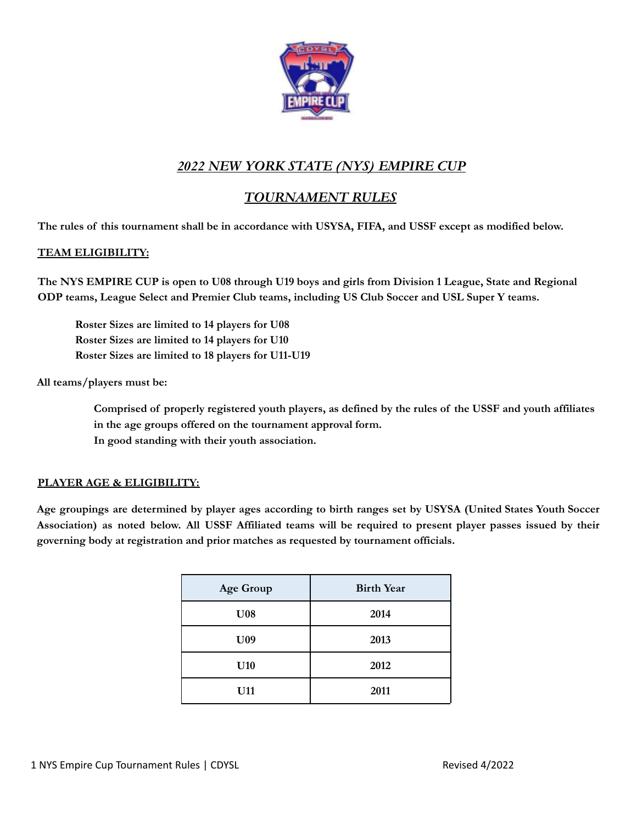

# *2022 NEW YORK STATE (NYS) EMPIRE CUP*

## *TOURNAMENT RULES*

The rules of this tournament shall be in accordance with USYSA, FIFA, and USSF except as modified below.

## **TEAM ELIGIBILITY:**

The NYS EMPIRE CUP is open to U08 through U19 boys and girls from Division 1 League, State and Regional **ODP teams, League Select and Premier Club teams, including US Club Soccer and USL Super Y teams.**

**Roster Sizes are limited to 14 players for U08 Roster Sizes are limited to 14 players for U10 Roster Sizes are limited to 18 players for U11-U19**

**All teams/players must be:**

**Comprised of properly registered youth players, as defined by the rules of the USSF and youth affiliates in the age groups offered on the tournament approval form. In good standing with their youth association.**

## **PLAYER AGE & ELIGIBILITY:**

Age groupings are determined by player ages according to birth ranges set by USYSA (United States Youth Soccer Association) as noted below. All USSF Affiliated teams will be required to present player passes issued by their **governing body at registration and prior matches as requested by tournament officials.**

| <b>Age Group</b> | <b>Birth Year</b> |
|------------------|-------------------|
| U <sub>08</sub>  | 2014              |
| U <sub>09</sub>  | 2013              |
| U10              | 2012              |
| U11              | 2011              |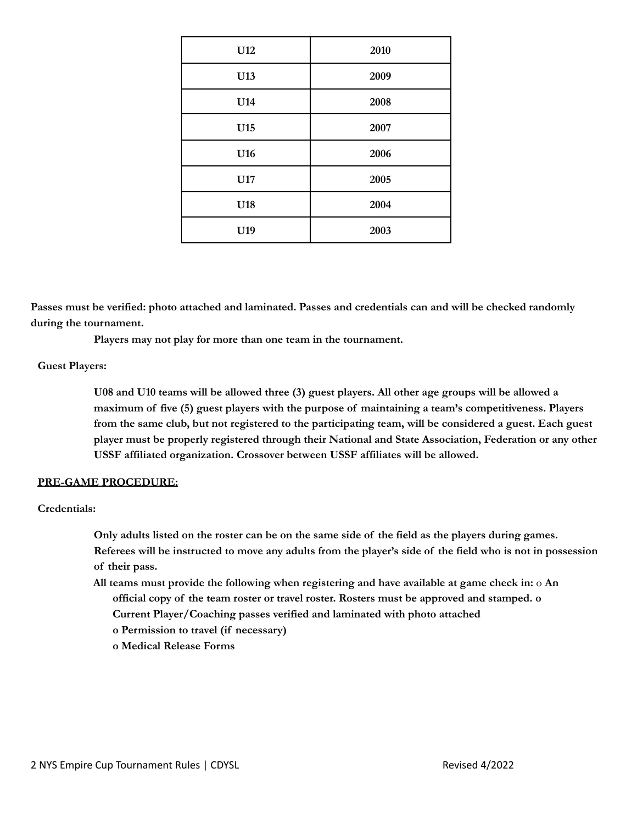| U12 | 2010 |
|-----|------|
| U13 | 2009 |
| U14 | 2008 |
| U15 | 2007 |
| U16 | 2006 |
| U17 | 2005 |
| U18 | 2004 |
| U19 | 2003 |

**Passes must be verified: photo attached and laminated. Passes and credentials can and will be checked randomly during the tournament.**

**Players may not play for more than one team in the tournament.**

## **Guest Players:**

**U08 and U10 teams will be allowed three (3) guest players. All other age groups will be allowed a maximum of five (5) guest players with the purpose of maintaining a team's competitiveness. Players from the same club, but not registered to the participating team, will be considered a guest. Each guest player must be properly registered through their National and State Association, Federation or any other USSF affiliated organization. Crossover between USSF affiliates will be allowed.**

## **PRE-GAME PROCEDURE:**

### **Credentials:**

**Only adults listed on the roster can be on the same side of the field as the players during games. Referees will be instructed to move any adults from the player's side of the field who is not in possession of their pass.**

- **All teams must provide the following when registering and have available at game check in:** o **An official copy of the team roster or travel roster. Rosters must be approved and stamped. o Current Player/Coaching passes verified and laminated with photo attached**
	- **o Permission to travel (if necessary)**
	- **o Medical Release Forms**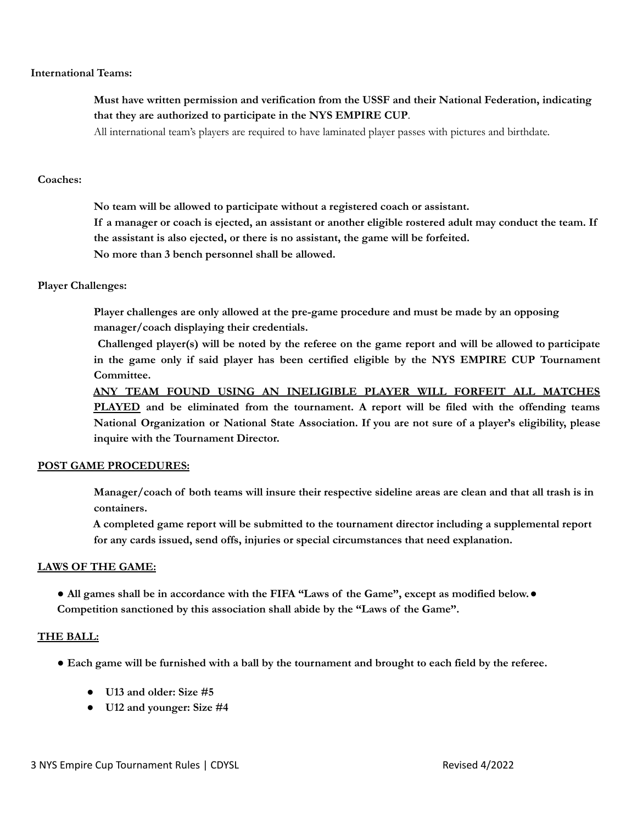#### **International Teams:**

## **Must have written permission and verification from the USSF and their National Federation, indicating that they are authorized to participate in the NYS EMPIRE CUP**.

All international team's players are required to have laminated player passes with pictures and birthdate.

### **Coaches:**

**No team will be allowed to participate without a registered coach or assistant.** If a manager or coach is ejected, an assistant or another eligible rostered adult may conduct the team. If **the assistant is also ejected, or there is no assistant, the game will be forfeited. No more than 3 bench personnel shall be allowed.**

### **Player Challenges:**

**Player challenges are only allowed at the pre-game procedure and must be made by an opposing manager/coach displaying their credentials.**

Challenged player(s) will be noted by the referee on the game report and will be allowed to participate **in the game only if said player has been certified eligible by the NYS EMPIRE CUP Tournament Committee.**

**ANY TEAM FOUND USING AN INELIGIBLE PLAYER WILL FORFEIT ALL MATCHES PLAYED and be eliminated from the tournament. A report will be filed with the offending teams National Organization or National State Association. If you are not sure of a player's eligibility, please inquire with the Tournament Director.**

### **POST GAME PROCEDURES:**

Manager/coach of both teams will insure their respective sideline areas are clean and that all trash is in **containers.**

**A completed game report will be submitted to the tournament director including a supplemental report for any cards issued, send offs, injuries or special circumstances that need explanation.**

### **LAWS OF THE GAME:**

• All games shall be in accordance with the FIFA "Laws of the Game", except as modified below.  $\bullet$ **Competition sanctioned by this association shall abide by the "Laws of the Game".**

### **THE BALL:**

- Each game will be furnished with a ball by the tournament and brought to each field by the referee.
	- **● U13 and older: Size #5**
	- **● U12 and younger: Size #4**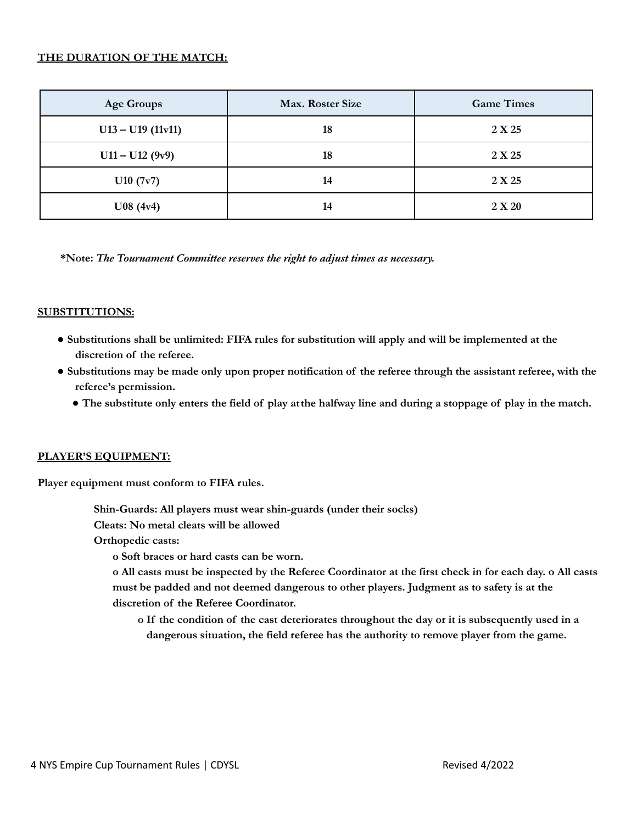## **THE DURATION OF THE MATCH:**

| <b>Age Groups</b>   | Max. Roster Size | <b>Game Times</b> |
|---------------------|------------------|-------------------|
| $U13 - U19$ (11v11) | 18               | 2 X 25            |
| $U11 - U12 (9v9)$   | 18               | 2 X 25            |
| U10 (7v7)           | 14               | 2 X 25            |
| U08(4v4)            | 14               | 2 X 20            |

**\*Note:** *The Tournament Committee reserves the right to adjust times as necessary.*

## **SUBSTITUTIONS:**

- **● Substitutions shall be unlimited: FIFA rules for substitution will apply and will be implemented at the discretion of the referee.**
- Substitutions may be made only upon proper notification of the referee through the assistant referee, with the **referee's permission.**
	- The substitute only enters the field of play at the halfway line and during a stoppage of play in the match.

## **PLAYER'S EQUIPMENT:**

**Player equipment must conform to FIFA rules.**

**Shin-Guards: All players must wear shin-guards (under their socks)**

**Cleats: No metal cleats will be allowed**

**Orthopedic casts:**

**o Soft braces or hard casts can be worn.**

o All casts must be inspected by the Referee Coordinator at the first check in for each day. o All casts **must be padded and not deemed dangerous to other players. Judgment as to safety is at the discretion of the Referee Coordinator.**

**o If the condition of the cast deteriorates throughout the day or it is subsequently used in a dangerous situation, the field referee has the authority to remove player from the game.**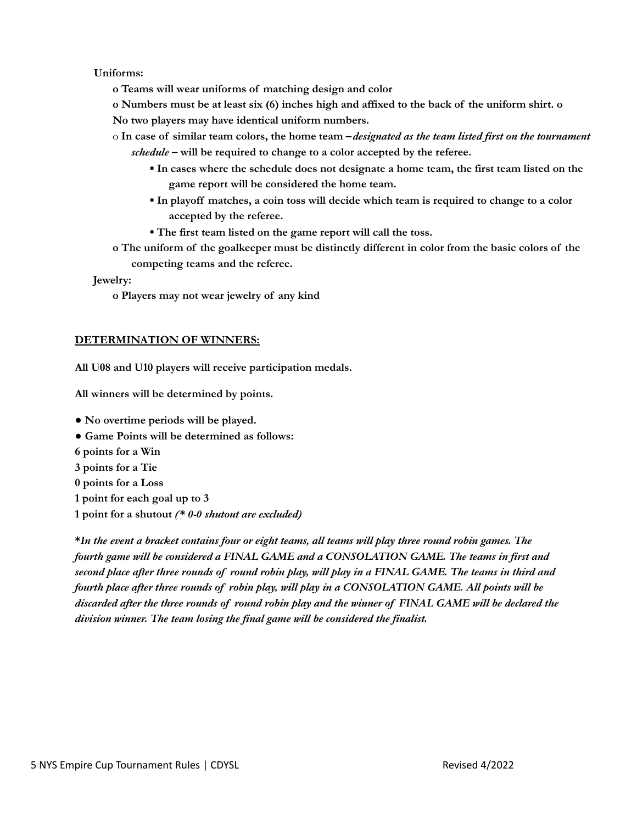## **Uniforms:**

**o Teams will wear uniforms of matching design and color**

o Numbers must be at least six (6) inches high and affixed to the back of the uniform shirt, o

**No two players may have identical uniform numbers.**

- $\circ$  In case of similar team colors, the home team  $-desired$  as the team listed first on the tournament *schedule* **– will be required to change to a color accepted by the referee.**
	- **▪ In cases where the schedule does not designate a home team, the first team listed on the game report will be considered the home team.**
	- **▪ In playoff matches, a coin toss will decide which team is required to change to a color accepted by the referee.**
	- **▪ The first team listed on the game report will call the toss.**
- **o The uniform of the goalkeeper must be distinctly different in color from the basic colors of the competing teams and the referee.**

### **Jewelry:**

**o Players may not wear jewelry of any kind**

## **DETERMINATION OF WINNERS:**

**All U08 and U10 players will receive participation medals.**

**All winners will be determined by points.**

- **● No overtime periods will be played.**
- **● Game Points will be determined as follows:**
- **6 points for a Win**
- **3 points for a Tie**
- **0 points for a Loss**
- **1 point for each goal up to 3**
- **1 point for a shutout** *(\* 0-0 shutout are excluded)*

\*In the event a bracket contains four or eight teams, all teams will play three round robin games. The *fourth game will be considered a FINAL GAME and a CONSOLATION GAME. The teams in first and* second place after three rounds of round robin play, will play in a FINAL GAME. The teams in third and *fourth place after three rounds of robin play, will play in a CONSOLATION GAME. All points will be* discarded after the three rounds of round robin play and the winner of FINAL GAME will be declared the *division winner. The team losing the final game will be considered the finalist.*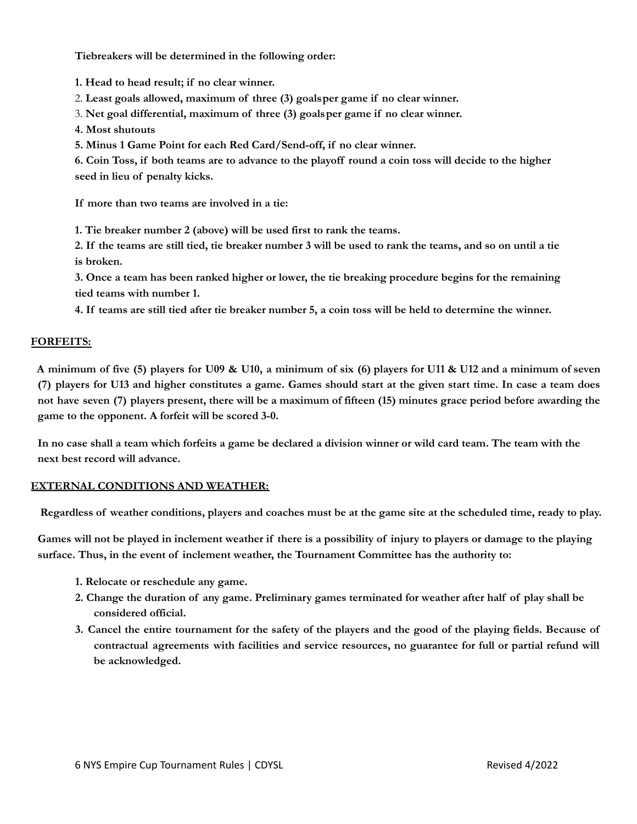**Tiebreakers will be determined in the following order:**

**1. Head to head result; if no clear winner.**

2. **Least goals allowed, maximum of three (3) goalsper game if no clear winner.**

3. **Net goal differential, maximum of three (3) goalsper game if no clear winner.**

**4. Most shutouts**

**5. Minus 1 Game Point for each Red Card/Send-off, if no clear winner.**

6. Coin Toss, if both teams are to advance to the playoff round a coin toss will decide to the higher **seed in lieu of penalty kicks.**

**If more than two teams are involved in a tie:**

**1. Tie breaker number 2 (above) will be used first to rank the teams.**

2. If the teams are still tied, tie breaker number 3 will be used to rank the teams, and so on until a tie **is broken.**

3. Once a team has been ranked higher or lower, the tie breaking procedure begins for the remaining **tied teams with number 1.**

4. If teams are still tied after tie breaker number 5, a coin toss will be held to determine the winner.

## **FORFEITS:**

A minimum of five (5) players for U09 & U10, a minimum of six (6) players for U11 & U12 and a minimum of seven (7) players for U13 and higher constitutes a game. Games should start at the given start time. In case a team does not have seven (7) players present, there will be a maximum of fifteen (15) minutes grace period before awarding the **game to the opponent. A forfeit will be scored 3-0.**

In no case shall a team which forfeits a game be declared a division winner or wild card team. The team with the **next best record will advance.**

### **EXTERNAL CONDITIONS AND WEATHER:**

Regardless of weather conditions, players and coaches must be at the game site at the scheduled time, ready to play.

Games will not be played in inclement weather if there is a possibility of injury to players or damage to the playing **surface. Thus, in the event of inclement weather, the Tournament Committee has the authority to:**

- **1. Relocate or reschedule any game.**
- 2. Change the duration of any game. Preliminary games terminated for weather after half of play shall be **considered official.**
- 3. Cancel the entire tournament for the safety of the players and the good of the playing fields. Because of **contractual agreements with facilities and service resources, no guarantee for full or partial refund will be acknowledged.**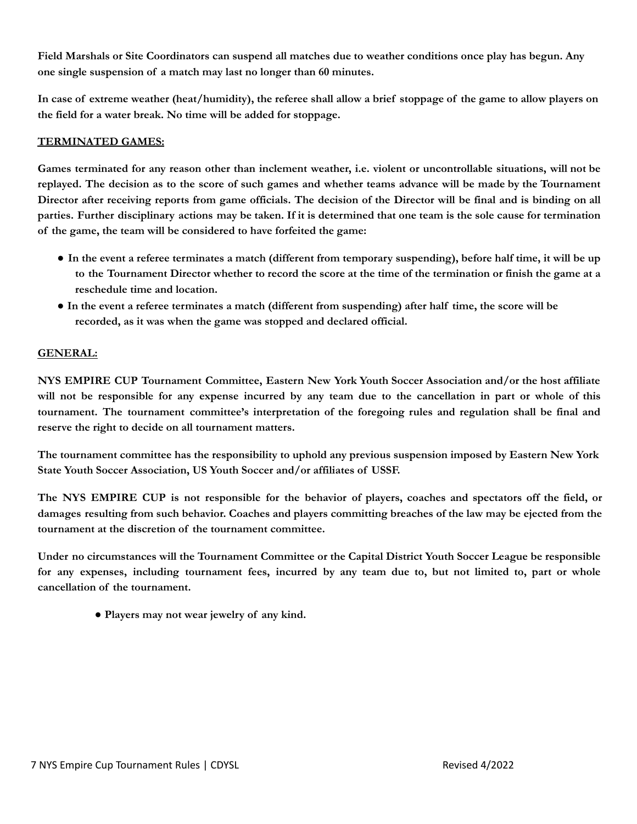Field Marshals or Site Coordinators can suspend all matches due to weather conditions once play has begun. Any **one single suspension of a match may last no longer than 60 minutes.**

In case of extreme weather (heat/humidity), the referee shall allow a brief stoppage of the game to allow players on **the field for a water break. No time will be added for stoppage.**

## **TERMINATED GAMES:**

Games terminated for any reason other than inclement weather, i.e. violent or uncontrollable situations, will not be replayed. The decision as to the score of such games and whether teams advance will be made by the Tournament Director after receiving reports from game officials. The decision of the Director will be final and is binding on all parties. Further disciplinary actions may be taken. If it is determined that one team is the sole cause for termination **of the game, the team will be considered to have forfeited the game:**

- In the event a referee terminates a match (different from temporary suspending), before half time, it will be up to the Tournament Director whether to record the score at the time of the termination or finish the game at a **reschedule time and location.**
- In the event a referee terminates a match (different from suspending) after half time, the score will be **recorded, as it was when the game was stopped and declared official.**

## **GENERAL:**

**NYS EMPIRE CUP Tournament Committee, Eastern New York Youth Soccer Association and/or the host affiliate** will not be responsible for any expense incurred by any team due to the cancellation in part or whole of this **tournament. The tournament committee's interpretation of the foregoing rules and regulation shall be final and reserve the right to decide on all tournament matters.**

**The tournament committee has the responsibility to uphold any previous suspension imposed by Eastern New York State Youth Soccer Association, US Youth Soccer and/or affiliates of USSF.**

The NYS EMPIRE CUP is not responsible for the behavior of players, coaches and spectators off the field, or damages resulting from such behavior. Coaches and players committing breaches of the law may be ejected from the **tournament at the discretion of the tournament committee.**

**Under no circumstances will the Tournament Committee or the Capital District Youth Soccer League be responsible** for any expenses, including tournament fees, incurred by any team due to, but not limited to, part or whole **cancellation of the tournament.**

**● Players may not wear jewelry of any kind.**